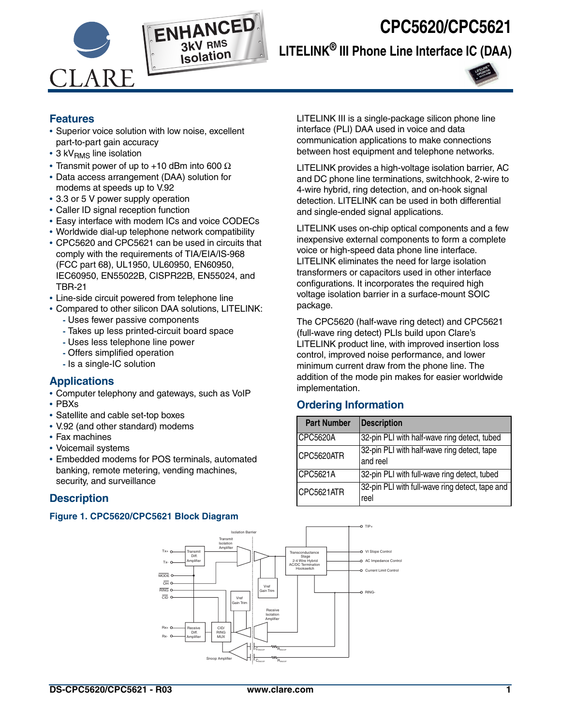



# **LITELINK® III Phone Line Interface IC (DAA)**



### **Features**

- **•** Superior voice solution with low noise, excellent part-to-part gain accuracy
- 3 kV<sub>RMS</sub> line isolation
- **•** Transmit power of up to +10 dBm into 600 Ω
- **•** Data access arrangement (DAA) solution for modems at speeds up to V.92
- **•** 3.3 or 5 V power supply operation
- **•** Caller ID signal reception function
- **•** Easy interface with modem ICs and voice CODECs
- **•** Worldwide dial-up telephone network compatibility
- **•** CPC5620 and CPC5621 can be used in circuits that comply with the requirements of TIA/EIA/IS-968 (FCC part 68), UL1950, UL60950, EN60950, IEC60950, EN55022B, CISPR22B, EN55024, and TBR-21
- **•** Line-side circuit powered from telephone line
- **•** Compared to other silicon DAA solutions, LITELINK:
	- Uses fewer passive components
	- Takes up less printed-circuit board space
	- Uses less telephone line power
	- Offers simplified operation
	- Is a single-IC solution

### **Applications**

- **•** Computer telephony and gateways, such as VoIP
- **•** PBXs
- **•** Satellite and cable set-top boxes
- **•** V.92 (and other standard) modems
- **•** Fax machines
- **•** Voicemail systems
- **•** Embedded modems for POS terminals, automated banking, remote metering, vending machines, security, and surveillance

### **Description**

#### **Figure 1. CPC5620/CPC5621 Block Diagram**

LITELINK III is a single-package silicon phone line interface (PLI) DAA used in voice and data communication applications to make connections between host equipment and telephone networks.

LITELINK provides a high-voltage isolation barrier, AC and DC phone line terminations, switchhook, 2-wire to 4-wire hybrid, ring detection, and on-hook signal detection. LITELINK can be used in both differential and single-ended signal applications.

LITELINK uses on-chip optical components and a few inexpensive external components to form a complete voice or high-speed data phone line interface. LITELINK eliminates the need for large isolation transformers or capacitors used in other interface configurations. It incorporates the required high voltage isolation barrier in a surface-mount SOIC package.

The CPC5620 (half-wave ring detect) and CPC5621 (full-wave ring detect) PLIs build upon Clare's LITELINK product line, with improved insertion loss control, improved noise performance, and lower minimum current draw from the phone line. The addition of the mode pin makes for easier worldwide implementation.

### **Ordering Information**

| <b>Part Number</b> | <b>Description</b>                                      |
|--------------------|---------------------------------------------------------|
| CPC5620A           | 32-pin PLI with half-wave ring detect, tubed            |
| CPC5620ATR         | 32-pin PLI with half-wave ring detect, tape<br>and reel |
| CPC5621A           | 32-pin PLI with full-wave ring detect, tubed            |
| CPC5621ATR         | 32-pin PLI with full-wave ring detect, tape and<br>reel |

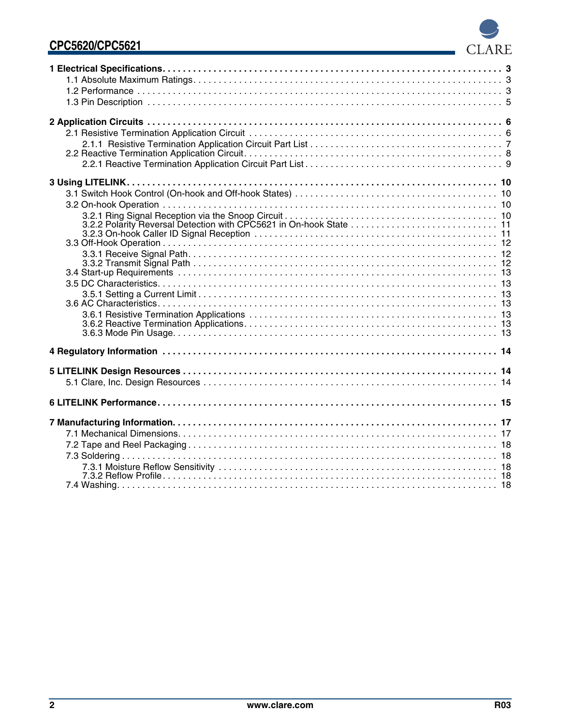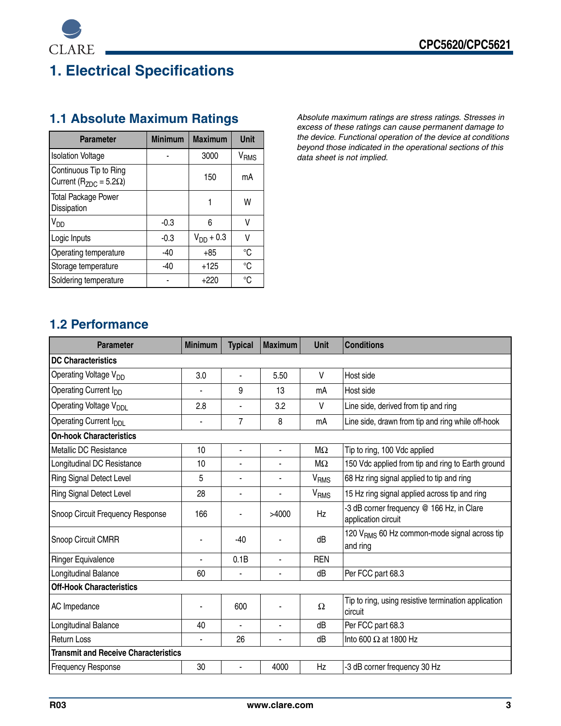

# <span id="page-2-0"></span>**1. Electrical Specifications**

| <b>Parameter</b>                                               | <b>Minimum</b> | <b>Maximum</b> | <b>Unit</b>      |
|----------------------------------------------------------------|----------------|----------------|------------------|
| <b>Isolation Voltage</b>                                       |                | 3000           | V <sub>RMS</sub> |
| Continuous Tip to Ring<br>Current ( $R_{ZDC}$ = 5.2 $\Omega$ ) |                | 150            | mA               |
| <b>Total Package Power</b><br>Dissipation                      |                |                | W                |
| $V_{DD}$                                                       | $-0.3$         | 6              | V                |
| Logic Inputs                                                   | $-0.3$         | $V_{DD}$ + 0.3 | V                |
| Operating temperature                                          | $-40$          | +85            | °C               |
| Storage temperature                                            | $-40$          | $+125$         | °C               |
| Soldering temperature                                          |                | $+220$         | °C               |

<span id="page-2-1"></span>**1.1 Absolute Maximum Ratings** *Absolute maximum ratings are stress ratings. Stresses in excess of these ratings can cause permanent damage to the device. Functional operation of the device at conditions beyond those indicated in the operational sections of this data sheet is not implied.* 

### <span id="page-2-2"></span>**1.2 Performance**

| <b>Parameter</b>                            | <b>Minimum</b> | <b>Typical</b> | <b>Maximum</b> | Unit             | <b>Conditions</b>                                                    |  |  |
|---------------------------------------------|----------------|----------------|----------------|------------------|----------------------------------------------------------------------|--|--|
| <b>DC Characteristics</b>                   |                |                |                |                  |                                                                      |  |  |
| Operating Voltage V <sub>DD</sub>           | 3.0            | ÷,             | 5.50           | V                | Host side                                                            |  |  |
| Operating Current I <sub>DD</sub>           |                | 9              | 13             | mA               | Host side                                                            |  |  |
| Operating Voltage V <sub>DDI</sub>          | 2.8            |                | 3.2            | V                | Line side, derived from tip and ring                                 |  |  |
| Operating Current I <sub>DDI</sub>          | $\blacksquare$ | $\overline{7}$ | 8              | mA               | Line side, drawn from tip and ring while off-hook                    |  |  |
| <b>On-hook Characteristics</b>              |                |                |                |                  |                                                                      |  |  |
| Metallic DC Resistance                      | 10             | $\blacksquare$ | ä,             | MΩ               | Tip to ring, 100 Vdc applied                                         |  |  |
| Longitudinal DC Resistance                  | 10             |                |                | $M\Omega$        | 150 Vdc applied from tip and ring to Earth ground                    |  |  |
| <b>Ring Signal Detect Level</b>             | 5              | ×,             | ٠              | V <sub>RMS</sub> | 68 Hz ring signal applied to tip and ring                            |  |  |
| Ring Signal Detect Level                    | 28             | ٠              |                | V <sub>RMS</sub> | 15 Hz ring signal applied across tip and ring                        |  |  |
| Snoop Circuit Frequency Response            | 166            |                | >4000          | Hz               | -3 dB corner frequency @ 166 Hz, in Clare<br>application circuit     |  |  |
| Snoop Circuit CMRR                          |                | $-40$          |                | dB               | 120 V <sub>RMS</sub> 60 Hz common-mode signal across tip<br>and ring |  |  |
| <b>Ringer Equivalence</b>                   |                | 0.1B           |                | <b>REN</b>       |                                                                      |  |  |
| Longitudinal Balance                        | 60             | ä,             | ä,             | dB               | Per FCC part 68.3                                                    |  |  |
| <b>Off-Hook Characteristics</b>             |                |                |                |                  |                                                                      |  |  |
| AC Impedance                                |                | 600            |                | Ω                | Tip to ring, using resistive termination application<br>circuit      |  |  |
| Longitudinal Balance                        | 40             |                | ÷,             | dB               | Per FCC part 68.3                                                    |  |  |
| <b>Return Loss</b>                          | ä,             | 26             | ä,             | dB               | Into 600 $\Omega$ at 1800 Hz                                         |  |  |
| <b>Transmit and Receive Characteristics</b> |                |                |                |                  |                                                                      |  |  |
| <b>Frequency Response</b>                   | 30             | ä,             | 4000           | Hz               | -3 dB corner frequency 30 Hz                                         |  |  |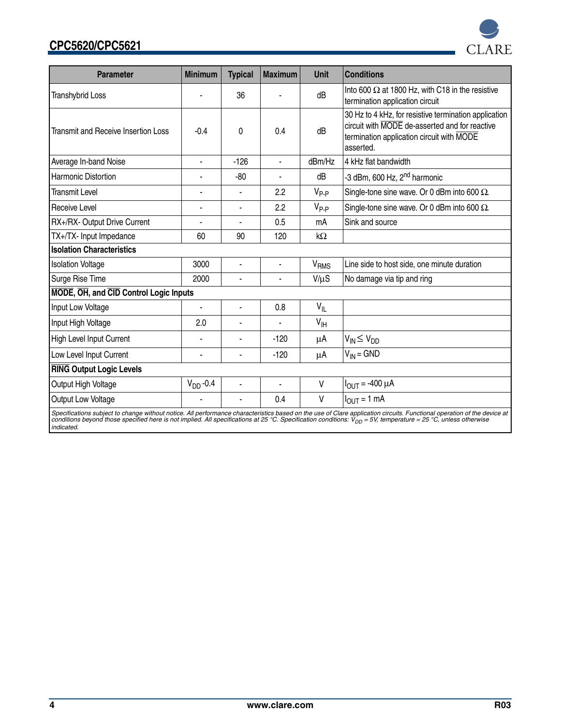

Specifications subject to change without notice. All performance characteristics based on the use of Clare application circuits. Functional operation of the device at<br>conditions beyond those specified here is not implied. *indicated.*

**CLARE** 

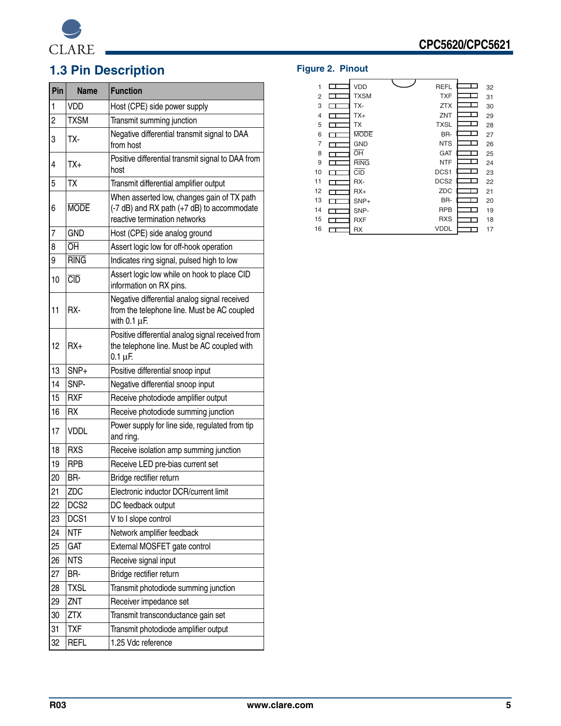

# <span id="page-4-0"></span>**1.3 Pin Description Figure 2. Pinout**

| Pin            | <b>Name</b>      | <b>Function</b>                                                                                                           |  |  |  |
|----------------|------------------|---------------------------------------------------------------------------------------------------------------------------|--|--|--|
| 1              | <b>VDD</b>       | Host (CPE) side power supply                                                                                              |  |  |  |
| $\overline{c}$ | <b>TXSM</b>      | Transmit summing junction                                                                                                 |  |  |  |
| 3              | TX-              | Negative differential transmit signal to DAA<br>from host                                                                 |  |  |  |
| 4              | $TX+$            | Positive differential transmit signal to DAA from<br>host                                                                 |  |  |  |
| 5              | TX               | Transmit differential amplifier output                                                                                    |  |  |  |
| 6              | <b>MODE</b>      | When asserted low, changes gain of TX path<br>(-7 dB) and RX path (+7 dB) to accommodate<br>reactive termination networks |  |  |  |
| 7              | <b>GND</b>       | Host (CPE) side analog ground                                                                                             |  |  |  |
| 8              | ŌĤ               | Assert logic low for off-hook operation                                                                                   |  |  |  |
| 9              | <b>RING</b>      | Indicates ring signal, pulsed high to low                                                                                 |  |  |  |
| 10             | CD               | Assert logic low while on hook to place CID<br>information on RX pins.                                                    |  |  |  |
| 11             | RX-              | Negative differential analog signal received<br>from the telephone line. Must be AC coupled<br>with $0.1 \mu F$ .         |  |  |  |
| 12             | $RX+$            | Positive differential analog signal received from<br>the telephone line. Must be AC coupled with<br>$0.1 \mu F$ .         |  |  |  |
| 13             | SNP+             | Positive differential snoop input                                                                                         |  |  |  |
| 14             | SNP-             | Negative differential snoop input                                                                                         |  |  |  |
| 15             | <b>RXF</b>       | Receive photodiode amplifier output                                                                                       |  |  |  |
| 16             | <b>RX</b>        | Receive photodiode summing junction                                                                                       |  |  |  |
| 17             | <b>VDDL</b>      | Power supply for line side, regulated from tip<br>and ring.                                                               |  |  |  |
| 18             | <b>RXS</b>       | Receive isolation amp summing junction                                                                                    |  |  |  |
| 19             | <b>RPB</b>       | Receive LED pre-bias current set                                                                                          |  |  |  |
| 20             | BR-              | Bridge rectifier return                                                                                                   |  |  |  |
| 21             | ZDC              | Electronic inductor DCR/current limit                                                                                     |  |  |  |
| 22             | DCS <sub>2</sub> | DC feedback output                                                                                                        |  |  |  |
| 23             | DCS1             | V to I slope control                                                                                                      |  |  |  |
| 24             | <b>NTF</b>       | Network amplifier feedback                                                                                                |  |  |  |
| 25             | <b>GAT</b>       | External MOSFET gate control                                                                                              |  |  |  |
| 26             | <b>NTS</b>       | Receive signal input                                                                                                      |  |  |  |
| 27             | BR-              | Bridge rectifier return                                                                                                   |  |  |  |
| 28             | <b>TXSL</b>      | Transmit photodiode summing junction                                                                                      |  |  |  |
| 29             | ZNT              | Receiver impedance set                                                                                                    |  |  |  |
| 30             | <b>ZTX</b>       | Transmit transconductance gain set                                                                                        |  |  |  |
| 31             | <b>TXF</b>       | Transmit photodiode amplifier output                                                                                      |  |  |  |
| 32             | <b>REFL</b>      | 1.25 Vdc reference                                                                                                        |  |  |  |

| 1              |    | <b>VDD</b>      | <b>REFL</b>      |     | 32 |
|----------------|----|-----------------|------------------|-----|----|
| $\overline{2}$ |    | <b>TXSM</b>     | <b>TXF</b>       |     | 31 |
| 3              |    | TX-             | <b>ZTX</b>       |     | 30 |
| 4              |    | TX+             | ZNT              |     | 29 |
| 5              |    | <b>TX</b>       | <b>TXSL</b>      | . . | 28 |
| 6              |    | <b>MODE</b>     | BR-              |     | 27 |
| 7              | LТ | <b>GND</b>      | <b>NTS</b>       |     | 26 |
| 8              |    | $\overline{OH}$ | <b>GAT</b>       |     | 25 |
| 9              |    | <b>RING</b>     | <b>NTF</b>       |     | 24 |
| 10             | ┍  | <b>CID</b>      | DCS1             | . . | 23 |
| 11             |    | RX-             | DCS <sub>2</sub> | П   | 22 |
| 12             |    | $RX+$           | ZDC              |     | 21 |
| 13             |    | SNP+            | BR-              |     | 20 |
| 14             |    | SNP-            | <b>RPB</b>       |     | 19 |
| 15             |    | <b>RXF</b>      | <b>RXS</b>       |     | 18 |
| 16             |    | <b>RX</b>       | <b>VDDL</b>      |     | 17 |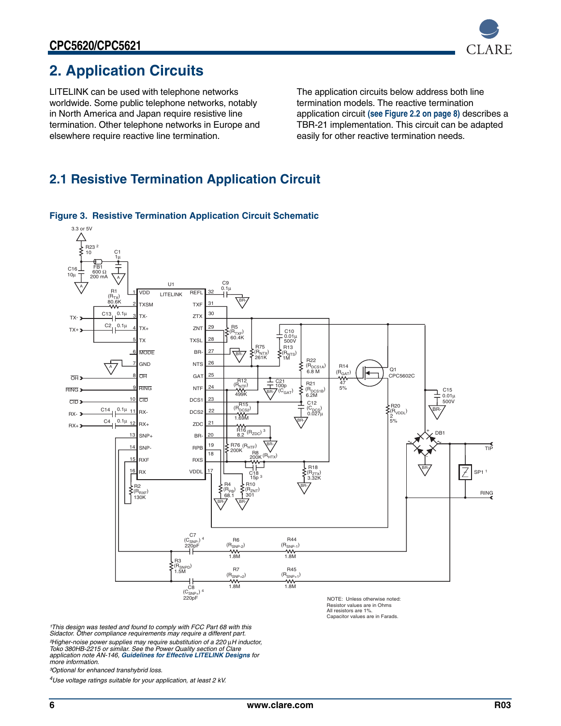

# <span id="page-5-0"></span>**2. Application Circuits**

LITELINK can be used with telephone networks worldwide. Some public telephone networks, notably in North America and Japan require resistive line termination. Other telephone networks in Europe and elsewhere require reactive line termination.

The application circuits below address both line termination models. The reactive termination application circuit **[\(see Figure 2.2 on page 8\)](#page-7-0)** describes a TBR-21 implementation. This circuit can be adapted easily for other reactive termination needs.

### <span id="page-5-1"></span>**2.1 Resistive Termination Application Circuit**



#### <span id="page-5-2"></span>**Figure 3. Resistive Termination Application Circuit Schematic**

Resistor values are in Ohms All resistors are 1%. Capacitor values are in Farads.

*¹This design was tested and found to comply with FCC Part 68 with this Sidactor. Other compliance requirements may require a different part. ²Higher-noise power supplies may require substitution of a 220* µ*H inductor, Toko 380HB-2215 or similar. See the Power Quality section of Clare application note AN-146, [Guidelines for Effective LITELINK Designs](http://www.clare.com/home/PDFs.nsf/www/an-146.pdf/$File/an-146.pdf) for more information.*

*³Optional for enhanced transhybrid loss.*

*4Use voltage ratings suitable for your application, at least 2 kV.*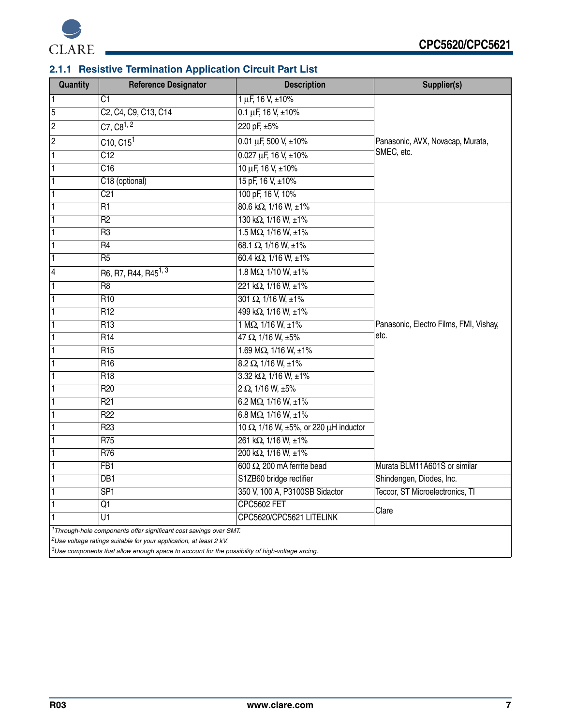

### <span id="page-6-0"></span>**2.1.1 Resistive Termination Application Circuit Part List**

| Quantity                | <b>Reference Designator</b>                                                                                                                            | <b>Description</b>                     | Supplier(s)                            |
|-------------------------|--------------------------------------------------------------------------------------------------------------------------------------------------------|----------------------------------------|----------------------------------------|
| $\mathbf{1}$            | C1                                                                                                                                                     | $1 \mu F$ , 16 V, $\pm 10\%$           |                                        |
| 5                       | C2, C4, C9, C13, C14                                                                                                                                   | $0.1 \mu F$ , 16 V, $\pm 10\%$         |                                        |
| $\overline{c}$          | $C7, C8^{1, 2}$                                                                                                                                        | 220 pF, ±5%                            |                                        |
| $\overline{c}$          | C10, C15 <sup>1</sup>                                                                                                                                  | 0.01 µF, 500 V, $\pm 10\%$             | Panasonic, AVX, Novacap, Murata,       |
| $\overline{1}$          | $\overline{C12}$                                                                                                                                       | $0.027 \mu F$ , 16 V, ±10%             | SMEC, etc.                             |
| $\overline{1}$          | $\overline{C16}$                                                                                                                                       | 10 µF, 16 V, ±10%                      |                                        |
| $\overline{1}$          | C18 (optional)                                                                                                                                         | 15 pF, 16 V, ±10%                      |                                        |
| $\overline{1}$          | C <sub>21</sub>                                                                                                                                        | 100 pF, 16 V, 10%                      |                                        |
| $\overline{1}$          | $\overline{R1}$                                                                                                                                        | $80.6$ k $\Omega$ , 1/16 W, $\pm 1\%$  |                                        |
| $\overline{1}$          | $\overline{R2}$                                                                                                                                        | 130 kΩ, 1/16 W, ±1%                    |                                        |
| $\overline{1}$          | R <sub>3</sub>                                                                                                                                         | $1.5 M\Omega$ , $1/16 W$ , $\pm 1\%$   |                                        |
| $\overline{1}$          | $\overline{R4}$                                                                                                                                        | 68.1 $\overline{\Omega}$ , 1/16 W, ±1% |                                        |
| $\overline{1}$          | R <sub>5</sub>                                                                                                                                         | 60.4 k $\Omega$ , 1/16 W, ±1%          |                                        |
| $\overline{\mathbf{4}}$ | R6, R7, R44, R45 <sup>1, 3</sup>                                                                                                                       | 1.8 M $\Omega$ , 1/10 W, ±1%           |                                        |
| $\overline{1}$          | R <sub>8</sub>                                                                                                                                         | 221 kΩ, 1/16 W, ±1%                    |                                        |
| $\overline{1}$          | R <sub>10</sub>                                                                                                                                        | $301 \Omega$ , $1/16 W$ , $\pm 1\%$    |                                        |
| $\overline{1}$          | R <sub>12</sub>                                                                                                                                        | 499 kΩ, 1/16 W, ±1%                    |                                        |
| $\vert$                 | R13                                                                                                                                                    | 1 M $\Omega$ , 1/16 W, $\pm 1\%$       | Panasonic, Electro Films, FMI, Vishay, |
| $\overline{1}$          | R14                                                                                                                                                    | $47 \Omega$ , 1/16 W, ±5%              | etc.                                   |
| $\overline{1}$          | R <sub>15</sub>                                                                                                                                        | 1.69 M $\Omega$ , 1/16 W, ±1%          |                                        |
| $\overline{\mathbf{1}}$ | R <sub>16</sub>                                                                                                                                        | $8.2 \Omega$ , 1/16 W, ±1%             |                                        |
| $\overline{1}$          | R <sub>18</sub>                                                                                                                                        | $3.32$ k $\Omega$ , 1/16 W, $\pm 1\%$  |                                        |
| $\overline{1}$          | R <sub>20</sub>                                                                                                                                        | $2 \Omega$ , 1/16 W, $\pm 5\%$         |                                        |
| $\overline{1}$          | R <sub>21</sub>                                                                                                                                        | 6.2 M $\Omega$ , 1/16 W, $\pm$ 1%      |                                        |
| $\overline{1}$          | R <sub>22</sub>                                                                                                                                        | 6.8 M $\Omega$ , 1/16 W, $\pm$ 1%      |                                        |
| $\overline{1}$          | R <sub>23</sub>                                                                                                                                        | 10 Ω, 1/16 W, ±5%, or 220 μH inductor  |                                        |
| $\overline{1}$          | $\overline{R75}$                                                                                                                                       | 261 kΩ, 1/16 W, ±1%                    |                                        |
| $\overline{1}$          | R76                                                                                                                                                    | 200 kΩ, 1/16 W, ±1%                    |                                        |
| $\overline{1}$          | FB <sub>1</sub>                                                                                                                                        | 600 $\Omega$ , 200 mA ferrite bead     | Murata BLM11A601S or similar           |
| $\overline{1}$          | $\overline{DB1}$                                                                                                                                       | S1ZB60 bridge rectifier                | Shindengen, Diodes, Inc.               |
| $\overline{1}$          | SP <sub>1</sub>                                                                                                                                        | 350 V, 100 A, P3100SB Sidactor         | Teccor, ST Microelectronics, TI        |
| $\overline{1}$          | $\overline{Q1}$                                                                                                                                        | <b>CPC5602 FET</b>                     | Clare                                  |
| $\overline{1}$          | U1                                                                                                                                                     | CPC5620/CPC5621 LITELINK               |                                        |
|                         | <sup>1</sup> Through-hole components offer significant cost savings over SMT.<br>$2$ Use voltage ratings suitable for your application, at least 2 kV. |                                        |                                        |

*3Use components that allow enough space to account for the possibility of high-voltage arcing.*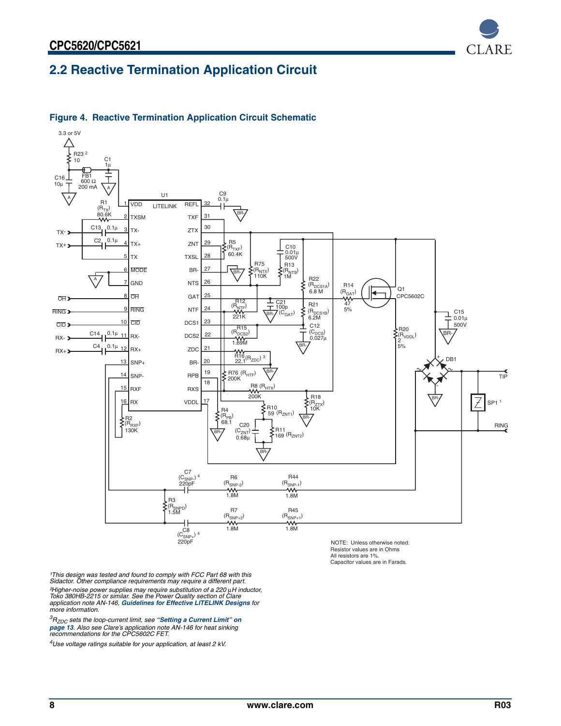<span id="page-7-0"></span>



#### **Figure 4. Reactive Termination Application Circuit Schematic**

NOTE: Unless otherwise noted: Resistor values are in Ohms All resistors are 1%. Capacitor values are in Farads.

*¹This design was tested and found to comply with FCC Part 68 with this Sidactor. Other compliance requirements may require a different part. ²Higher-noise power supplies may require substitution of a 220* µ*H inductor, Toko 380HB-2215 or similar. See the Power Quality section of Clare application note AN-146, [Guidelines for Effective LITELINK Designs](http://www.clare.com/home/PDFs.nsf/www/an-146.pdf/$File/an-146.pdf) for more information.*

*3RZDC sets the loop-current limit, see ["Setting a Current Limit" on](#page-12-2)  [page 13](#page-12-2). Also see Clare's application note AN-146 for heat sinking recommendations for the CPC5602C FET.*

*4Use voltage ratings suitable for your application, at least 2 kV.*

**CLARE** 

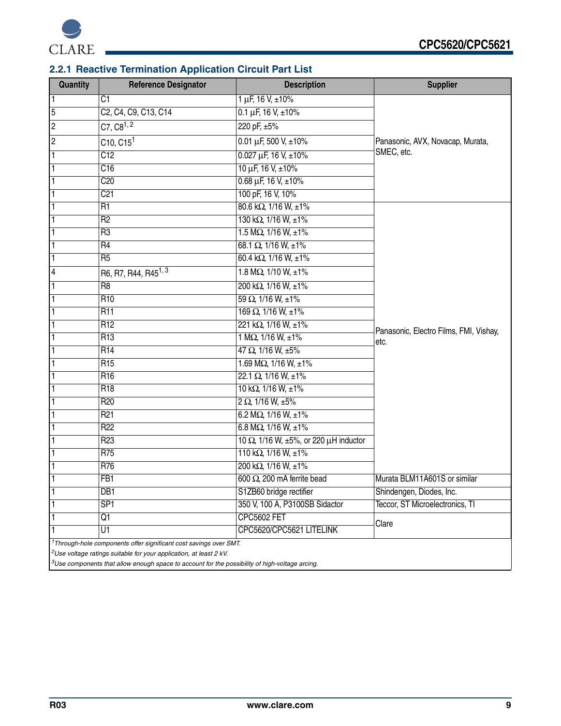

### <span id="page-8-0"></span>**2.2.1 Reactive Termination Application Circuit Part List**

| Quantity                | <b>Reference Designator</b>                                                                                                                                     | <b>Description</b>                    | <b>Supplier</b>                                |
|-------------------------|-----------------------------------------------------------------------------------------------------------------------------------------------------------------|---------------------------------------|------------------------------------------------|
| $\vert$                 | C <sub>1</sub>                                                                                                                                                  | $1 \mu F$ , $16 V$ , $\pm 10\%$       |                                                |
| $\overline{5}$          | C <sub>2</sub> , C <sub>4</sub> , C <sub>9</sub> , C <sub>13</sub> , C <sub>14</sub>                                                                            | $0.1 \mu F$ , 16 V, $\pm 10\%$        |                                                |
| $\overline{c}$          | $C7, C8^{1, 2}$                                                                                                                                                 | 220 pF, ±5%                           |                                                |
| $\overline{c}$          | $C$ 10, $C$ 15 <sup>1</sup>                                                                                                                                     | 0.01 µF, 500 V, $\pm 10\%$            | Panasonic, AVX, Novacap, Murata,               |
| $\overline{1}$          | C12                                                                                                                                                             | $0.027 \mu F$ , 16 V, ±10%            | SMEC, etc.                                     |
| $\overline{1}$          | $\overline{C16}$                                                                                                                                                | $10 \mu F$ , $16 V$ , $\pm 10\%$      |                                                |
| $\overline{1}$          | C20                                                                                                                                                             | $0.68 \,\mu F$ , 16 V, $\pm 10\%$     |                                                |
| $\overline{1}$          | C <sub>21</sub>                                                                                                                                                 | 100 pF, 16 V, 10%                     |                                                |
| $\overline{1}$          | R <sub>1</sub>                                                                                                                                                  | $80.6$ k $\Omega$ , 1/16 W, $\pm 1\%$ |                                                |
| $\vert$ 1               | R <sub>2</sub>                                                                                                                                                  | 130 k $\Omega$ , 1/16 W, ±1%          |                                                |
| $\overline{1}$          | $\overline{R3}$                                                                                                                                                 | $1.5 M\Omega$ , $1/16 W$ , $\pm 1\%$  |                                                |
| $\overline{1}$          | R <sub>4</sub>                                                                                                                                                  | 68.1 $\Omega$ , 1/16 W, ±1%           |                                                |
| $\overline{1}$          | R <sub>5</sub>                                                                                                                                                  | 60.4 k $\Omega$ , 1/16 W, ±1%         |                                                |
| $\overline{\mathbf{4}}$ | R6, R7, R44, R45 <sup>1, 3</sup>                                                                                                                                | 1.8 M $\Omega$ , 1/10 W, ±1%          |                                                |
| $\overline{1}$          | R <sub>8</sub>                                                                                                                                                  | 200 kΩ, $1/16$ W, $±1%$               |                                                |
| $\overline{1}$          | R <sub>10</sub>                                                                                                                                                 | $59 \Omega$ , 1/16 W, ±1%             |                                                |
| $\overline{1}$          | R11                                                                                                                                                             | 169 $\Omega$ , 1/16 W, $\pm 1\%$      |                                                |
| $\overline{1}$          | R <sub>12</sub>                                                                                                                                                 | 221 kΩ, 1/16 W, ±1%                   |                                                |
| $\overline{1}$          | R <sub>13</sub>                                                                                                                                                 | 1 M $\Omega$ , 1/16 W, $\pm 1\%$      | Panasonic, Electro Films, FMI, Vishay,<br>etc. |
| $\overline{1}$          | R14                                                                                                                                                             | $47 \Omega$ , $1/16 W$ , $\pm 5\%$    |                                                |
| $\overline{1}$          | R <sub>15</sub>                                                                                                                                                 | 1.69 M $\Omega$ , 1/16 W, ±1%         |                                                |
| $\overline{1}$          | R <sub>16</sub>                                                                                                                                                 | $22.1 \Omega$ , 1/16 W, ±1%           |                                                |
| $\overline{1}$          | R <sub>18</sub>                                                                                                                                                 | 10 k $\Omega$ , 1/16 W, $\pm 1\%$     |                                                |
| $\overline{1}$          | R <sub>20</sub>                                                                                                                                                 | 2 $\Omega$ , 1/16 W, ±5%              |                                                |
| $\overline{1}$          | R <sub>21</sub>                                                                                                                                                 | 6.2 M $\Omega$ , 1/16 W, $\pm$ 1%     |                                                |
| $\mathbf{1}$            | R <sub>22</sub>                                                                                                                                                 | 6.8 M $\Omega$ , 1/16 W, $\pm$ 1%     |                                                |
| $\overline{1}$          | R <sub>23</sub>                                                                                                                                                 | 10 Ω, 1/16 W, ±5%, or 220 μH inductor |                                                |
| $\overline{1}$          | R75                                                                                                                                                             | 110 k $\Omega$ , 1/16 W, ±1%          |                                                |
| $\overline{1}$          | R76                                                                                                                                                             | 200 kΩ, 1/16 W, ±1%                   |                                                |
|                         | FB1                                                                                                                                                             | 600 $\Omega$ , 200 mA ferrite bead    | Murata BLM11A601S or similar                   |
| $\vert$                 | DB <sub>1</sub>                                                                                                                                                 | S1ZB60 bridge rectifier               | Shindengen, Diodes, Inc.                       |
| $\mathbf{1}$            | SP <sub>1</sub>                                                                                                                                                 | 350 V, 100 A, P3100SB Sidactor        | <b>Teccor, ST Microelectronics, TI</b>         |
| $\mathbf{1}$            | Q1                                                                                                                                                              | <b>CPC5602 FET</b>                    | Clare                                          |
|                         | $\overline{U}$ 1                                                                                                                                                | CPC5620/CPC5621 LITELINK              |                                                |
|                         | <sup>1</sup> Through-hole components offer significant cost savings over SMT.<br><sup>2</sup> Use voltage ratings suitable for your application, at least 2 kV. |                                       |                                                |

*3Use components that allow enough space to account for the possibility of high-voltage arcing.*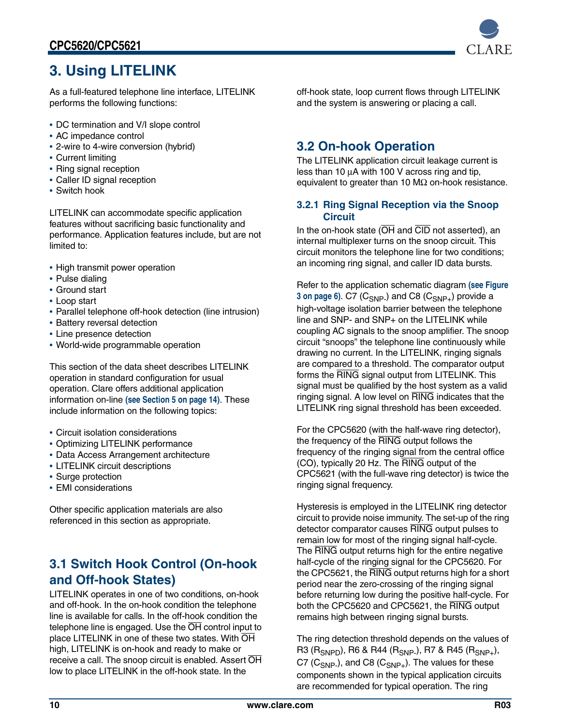

# <span id="page-9-0"></span>**3. Using LITELINK**

As a full-featured telephone line interface, LITELINK performs the following functions:

- **•** DC termination and V/I slope control
- **•** AC impedance control
- **•** 2-wire to 4-wire conversion (hybrid)
- **•** Current limiting
- **•** Ring signal reception
- **•** Caller ID signal reception
- **•** Switch hook

LITELINK can accommodate specific application features without sacrificing basic functionality and performance. Application features include, but are not limited to:

- **•** High transmit power operation
- **•** Pulse dialing
- **•** Ground start
- **•** Loop start
- **•** Parallel telephone off-hook detection (line intrusion)
- **•** Battery reversal detection
- **•** Line presence detection
- **•** World-wide programmable operation

This section of the data sheet describes LITELINK operation in standard configuration for usual operation. Clare offers additional application information on-line **[\(see Section 5 on page 14\)](#page-13-1)**. These include information on the following topics:

- **•** Circuit isolation considerations
- **•** Optimizing LITELINK performance
- **•** Data Access Arrangement architecture
- **•** LITELINK circuit descriptions
- **•** Surge protection
- **•** EMI considerations

Other specific application materials are also referenced in this section as appropriate.

### <span id="page-9-1"></span>**3.1 Switch Hook Control (On-hook and Off-hook States)**

LITELINK operates in one of two conditions, on-hook and off-hook. In the on-hook condition the telephone line is available for calls. In the off-hook condition the telephone line is engaged. Use the OH control input to place LITELINK in one of these two states. With OH high, LITELINK is on-hook and ready to make or receive a call. The snoop circuit is enabled. Assert OH low to place LITELINK in the off-hook state. In the

off-hook state, loop current flows through LITELINK and the system is answering or placing a call.

### <span id="page-9-2"></span>**3.2 On-hook Operation**

The LITELINK application circuit leakage current is less than 10 µA with 100 V across ring and tip, equivalent to greater than 10 M $\Omega$  on-hook resistance.

### <span id="page-9-3"></span>**3.2.1 Ring Signal Reception via the Snoop Circuit**

In the on-hook state ( $\overline{OH}$  and  $\overline{CID}$  not asserted), an internal multiplexer turns on the snoop circuit. This circuit monitors the telephone line for two conditions; an incoming ring signal, and caller ID data bursts.

Refer to the application schematic diagram **[\(see Figure](#page-5-2)  [3 on page 6\)](#page-5-2).** C7 (C<sub>SNP-</sub>) and C8 (C<sub>SNP+</sub>) provide a high-voltage isolation barrier between the telephone line and SNP- and SNP+ on the LITELINK while coupling AC signals to the snoop amplifier. The snoop circuit "snoops" the telephone line continuously while drawing no current. In the LITELINK, ringing signals are compared to a threshold. The comparator output forms the RING signal output from LITELINK. This signal must be qualified by the host system as a valid ringing signal. A low level on RING indicates that the LITELINK ring signal threshold has been exceeded.

For the CPC5620 (with the half-wave ring detector), the frequency of the RING output follows the frequency of the ringing signal from the central office (CO), typically 20 Hz. The RING output of the CPC5621 (with the full-wave ring detector) is twice the ringing signal frequency.

Hysteresis is employed in the LITELINK ring detector circuit to provide noise immunity. The set-up of the ring detector comparator causes RING output pulses to remain low for most of the ringing signal half-cycle. The RING output returns high for the entire negative half-cycle of the ringing signal for the CPC5620. For the CPC5621, the RING output returns high for a short period near the zero-crossing of the ringing signal before returning low during the positive half-cycle. For both the CPC5620 and CPC5621, the RING output remains high between ringing signal bursts.

The ring detection threshold depends on the values of R3 (R<sub>SNPD</sub>), R6 & R44 (R<sub>SNP-</sub>), R7 & R45 (R<sub>SNP+</sub>), C7 ( $C_{SNP}$ ), and C8 ( $C_{SNP+}$ ). The values for these components shown in the typical application circuits are recommended for typical operation. The ring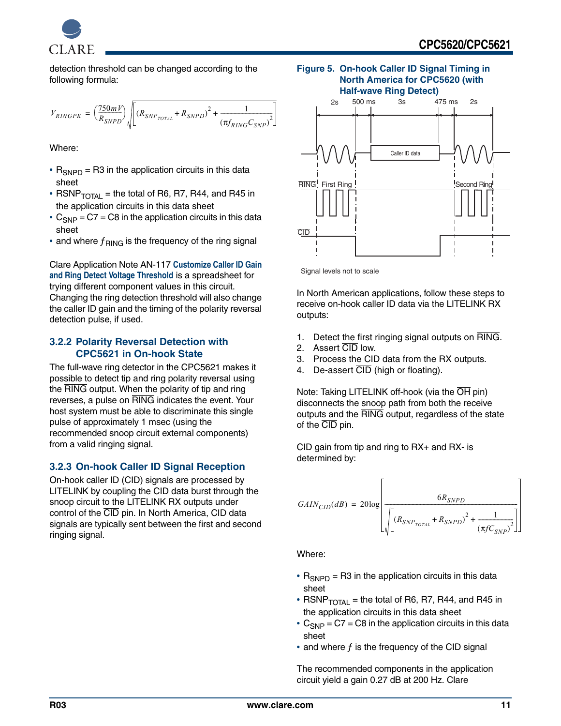

detection threshold can be changed according to the following formula:

$$
V_{RINGPK} = \left(\frac{750mV}{R_{SNPD}}\right)\sqrt{\left[(R_{SNP_{TOTAL}} + R_{SNPD})^2 + \frac{1}{\left(\pi f_{RING} C_{SNP}\right)^2}\right]}
$$

Where:

- R<sub>SNPD</sub> = R3 in the application circuits in this data sheet
- RSNP $_{\text{TOTAI}}$  = the total of R6, R7, R44, and R45 in the application circuits in this data sheet
- $C_{SNP}$  =  $C7$  =  $C8$  in the application circuits in this data sheet
- and where  $f_{\text{RING}}$  is the frequency of the ring signal

Clare Application Note AN-117 **[Customize Caller ID Gain](http://www.clare.com/home/PDFs.nsf/www/calc5610.xls/$File/calc5610.xls)  [and Ring Detect Voltage Threshold](http://www.clare.com/home/PDFs.nsf/www/calc5610.xls/$File/calc5610.xls)** is a spreadsheet for trying different component values in this circuit. Changing the ring detection threshold will also change the caller ID gain and the timing of the polarity reversal detection pulse, if used.

#### <span id="page-10-0"></span>**3.2.2 Polarity Reversal Detection with CPC5621 in On-hook State**

The full-wave ring detector in the CPC5621 makes it possible to detect tip and ring polarity reversal using the RING output. When the polarity of tip and ring reverses, a pulse on RING indicates the event. Your host system must be able to discriminate this single pulse of approximately 1 msec (using the recommended snoop circuit external components) from a valid ringing signal.

### <span id="page-10-1"></span>**3.2.3 On-hook Caller ID Signal Reception**

On-hook caller ID (CID) signals are processed by LITELINK by coupling the CID data burst through the snoop circuit to the LITELINK RX outputs under control of the CID pin. In North America, CID data signals are typically sent between the first and second ringing signal.

#### **Figure 5. On-hook Caller ID Signal Timing in North America for CPC5620 (with Half-wave Ring Detect)**



Signal levels not to scale

In North American applications, follow these steps to receive on-hook caller ID data via the LITELINK RX outputs:

- 1. Detect the first ringing signal outputs on RING.
- 2. Assert CID low.
- 3. Process the CID data from the RX outputs.
- 4. De-assert  $\overline{CID}$  (high or floating).

Note: Taking LITELINK off-hook (via the OH pin) disconnects the snoop path from both the receive outputs and the RING output, regardless of the state of the CID pin.

CID gain from tip and ring to RX+ and RX- is determined by:

$$
GAIN_{CID}(dB) = 20\log\left[\frac{6R_{SNPD}}{\sqrt{\left[\left(R_{SNP_{TOTAL}} + R_{SNPD}\right)^2 + \frac{1}{\left(\pi f C_{SNP}\right)^2}\right]}}\right]
$$

Where:

- R<sub>SNPD</sub> = R3 in the application circuits in this data sheet
- RSNP $_{\text{TOTAL}}$  = the total of R6, R7, R44, and R45 in the application circuits in this data sheet
- C<sub>SNP</sub> = C7 = C8 in the application circuits in this data sheet
- and where f is the frequency of the CID signal

The recommended components in the application circuit yield a gain 0.27 dB at 200 Hz. Clare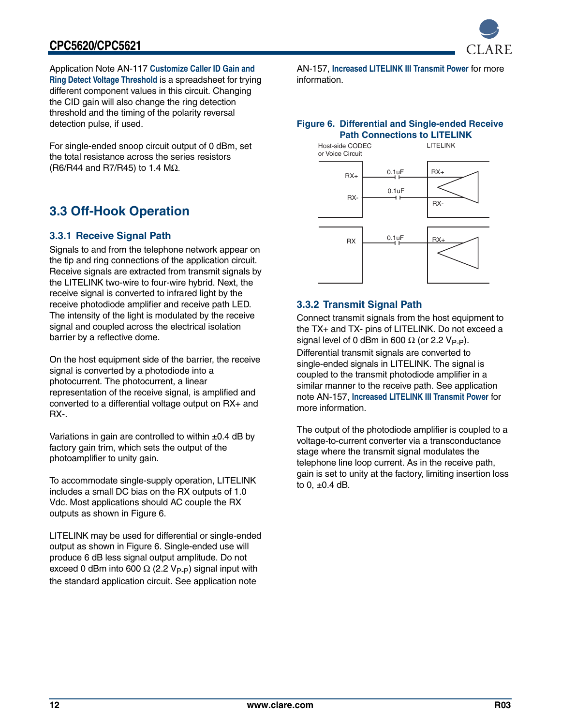

Application Note AN-117 **[Customize Caller ID Gain and](http://www.clare.com/home/PDFs.nsf/www/calc5610.xls/$File/calc5610.xls)  [Ring Detect Voltage Threshold](http://www.clare.com/home/PDFs.nsf/www/calc5610.xls/$File/calc5610.xls)** is a spreadsheet for trying different component values in this circuit. Changing the CID gain will also change the ring detection threshold and the timing of the polarity reversal detection pulse, if used.

For single-ended snoop circuit output of 0 dBm, set the total resistance across the series resistors (R6/R44 and R7/R45) to 1.4 MΩ.

### <span id="page-11-0"></span>**3.3 Off-Hook Operation**

### <span id="page-11-1"></span>**3.3.1 Receive Signal Path**

Signals to and from the telephone network appear on the tip and ring connections of the application circuit. Receive signals are extracted from transmit signals by the LITELINK two-wire to four-wire hybrid. Next, the receive signal is converted to infrared light by the receive photodiode amplifier and receive path LED. The intensity of the light is modulated by the receive signal and coupled across the electrical isolation barrier by a reflective dome.

On the host equipment side of the barrier, the receive signal is converted by a photodiode into a photocurrent. The photocurrent, a linear representation of the receive signal, is amplified and converted to a differential voltage output on RX+ and RX-.

Variations in gain are controlled to within  $\pm 0.4$  dB by factory gain trim, which sets the output of the photoamplifier to unity gain.

To accommodate single-supply operation, LITELINK includes a small DC bias on the RX outputs of 1.0 Vdc. Most applications should AC couple the RX outputs as shown in Figure [6.](#page-11-3)

LITELINK may be used for differential or single-ended output as shown in Figure [6](#page-11-3). Single-ended use will produce 6 dB less signal output amplitude. Do not exceed 0 dBm into 600  $\Omega$  (2.2 V<sub>P-P</sub>) signal input with the standard application circuit. See application note

AN-157, **[Increased LITELINK III Transmit Power](http://www.clare.com/home/PDFs.nsf/www/an-149.pdf/$File/an-149.pdf)** for more information.

#### <span id="page-11-3"></span>**Figure 6. Differential and Single-ended Receive Path Connections to LITELINK**



### <span id="page-11-2"></span>**3.3.2 Transmit Signal Path**

Connect transmit signals from the host equipment to the TX+ and TX- pins of LITELINK. Do not exceed a signal level of 0 dBm in 600  $\Omega$  (or 2.2 V<sub>P-P</sub>).

Differential transmit signals are converted to single-ended signals in LITELINK. The signal is coupled to the transmit photodiode amplifier in a similar manner to the receive path. See application note AN-157, **[Increased LITELINK III Transmit Power](http://www.clare.com/home/PDFs.nsf/www/an-149.pdf/$File/an-149.pdf)** for more information.

The output of the photodiode amplifier is coupled to a voltage-to-current converter via a transconductance stage where the transmit signal modulates the telephone line loop current. As in the receive path, gain is set to unity at the factory, limiting insertion loss to 0,  $\pm$ 0.4 dB.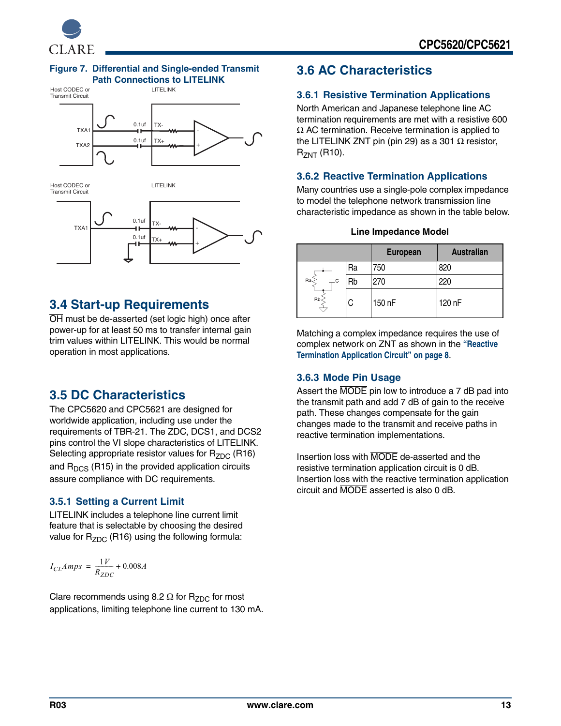

#### **Figure 7. Differential and Single-ended Transmit Path Connections to LITELINK**



### <span id="page-12-0"></span>**3.4 Start-up Requirements**

OH must be de-asserted (set logic high) once after power-up for at least 50 ms to transfer internal gain trim values within LITELINK. This would be normal operation in most applications.

### <span id="page-12-1"></span>**3.5 DC Characteristics**

The CPC5620 and CPC5621 are designed for worldwide application, including use under the requirements of TBR-21. The ZDC, DCS1, and DCS2 pins control the VI slope characteristics of LITELINK. Selecting appropriate resistor values for  $R_{ZDC}$  (R16) and  $R<sub>DCS</sub>$  (R15) in the provided application circuits assure compliance with DC requirements.

### <span id="page-12-2"></span>**3.5.1 Setting a Current Limit**

LITELINK includes a telephone line current limit feature that is selectable by choosing the desired value for  $R_{ZDC}$  (R16) using the following formula:

$$
I_{CL}Amps = \frac{1V}{R_{ZDC}} + 0.008A
$$

Clare recommends using 8.2  $\Omega$  for R<sub>ZDC</sub> for most applications, limiting telephone line current to 130 mA.

### <span id="page-12-3"></span>**3.6 AC Characteristics**

### <span id="page-12-4"></span>**3.6.1 Resistive Termination Applications**

North American and Japanese telephone line AC termination requirements are met with a resistive 600  $\Omega$  AC termination. Receive termination is applied to the LITELINK ZNT pin (pin 29) as a 301  $Ω$  resistor,  $R_{ZNT}$  (R10).

### <span id="page-12-5"></span>**3.6.2 Reactive Termination Applications**

Many countries use a single-pole complex impedance to model the telephone network transmission line characteristic impedance as shown in the table below.

|  |  |  | <b>Line Impedance Model</b> |
|--|--|--|-----------------------------|
|--|--|--|-----------------------------|

|                    |    | <b>European</b> | <b>Australian</b> |
|--------------------|----|-----------------|-------------------|
|                    | Ra | 750             | 820               |
| Ra<br>$\mathbf{C}$ | Rb | 270             | 220               |
| Rb-                | C. | 150 nF          | 120 nF            |

Matching a complex impedance requires the use of complex network on ZNT as shown in the **["Reactive](#page-7-0)  [Termination Application Circuit" on page 8](#page-7-0)**.

### <span id="page-12-6"></span>**3.6.3 Mode Pin Usage**

Assert the MODE pin low to introduce a 7 dB pad into the transmit path and add 7 dB of gain to the receive path. These changes compensate for the gain changes made to the transmit and receive paths in reactive termination implementations.

Insertion loss with MODE de-asserted and the resistive termination application circuit is 0 dB. Insertion loss with the reactive termination application circuit and MODE asserted is also 0 dB.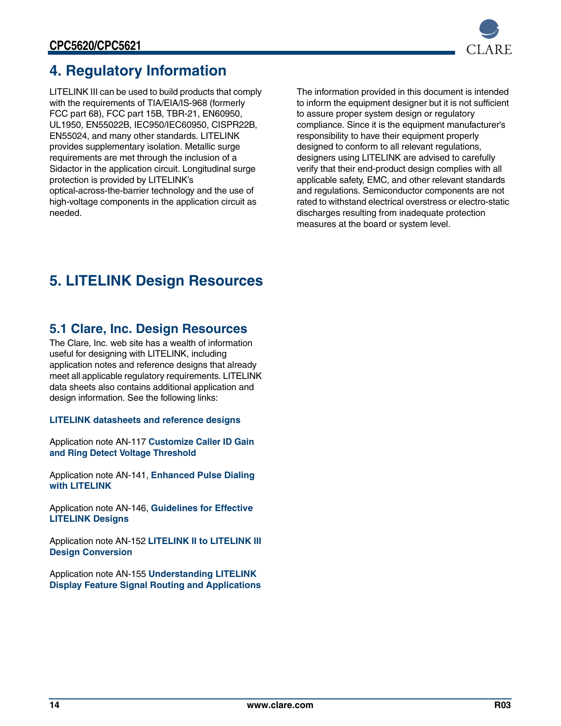

# <span id="page-13-0"></span>**4. Regulatory Information**

LITELINK III can be used to build products that comply with the requirements of TIA/EIA/IS-968 (formerly FCC part 68), FCC part 15B, TBR-21, EN60950, UL1950, EN55022B, IEC950/IEC60950, CISPR22B, EN55024, and many other standards. LITELINK provides supplementary isolation. Metallic surge requirements are met through the inclusion of a Sidactor in the application circuit. Longitudinal surge protection is provided by LITELINK's optical-across-the-barrier technology and the use of high-voltage components in the application circuit as needed.

The information provided in this document is intended to inform the equipment designer but it is not sufficient to assure proper system design or regulatory compliance. Since it is the equipment manufacturer's responsibility to have their equipment properly designed to conform to all relevant regulations, designers using LITELINK are advised to carefully verify that their end-product design complies with all applicable safety, EMC, and other relevant standards and regulations. Semiconductor components are not rated to withstand electrical overstress or electro-static discharges resulting from inadequate protection measures at the board or system level.

# <span id="page-13-1"></span>**5. LITELINK Design Resources**

### <span id="page-13-2"></span>**5.1 Clare, Inc. Design Resources**

The Clare, Inc. web site has a wealth of information useful for designing with LITELINK, including application notes and reference designs that already meet all applicable regulatory requirements. LITELINK data sheets also contains additional application and design information. See the following links:

### **[LITELINK datasheets and reference designs](http://www.clare.com/Products/LITELINK.htm)**

Application note AN-117 **[Customize Caller ID Gain](http://www.clare.com/home/PDFs.nsf/www/calc5610.xls/$File/calc5610.xls)  [and Ring Detect Voltage Threshold](http://www.clare.com/home/PDFs.nsf/www/calc5610.xls/$File/calc5610.xls)**

Application note AN-141, **[Enhanced Pulse Dialing](http://www.clare.com/home/PDFs.nsf/www/an-141.pdf/$File/an-141.pdf)  [with LITELINK](http://www.clare.com/home/PDFs.nsf/www/an-141.pdf/$File/an-141.pdf)**

Application note AN-146, **[Guidelines for Effective](http://www.clare.com/home/PDFs.nsf/www/an-146.pdf/$File/an-146.pdf)  [LITELINK Designs](http://www.clare.com/home/PDFs.nsf/www/an-146.pdf/$File/an-146.pdf)**

Application note AN-152 **[LITELINK II to LITELINK III](http://www.clare.com/home/pdfs.nsf/www/an-152.pdf/$file/an-152.pdf)  [Design Conversion](http://www.clare.com/home/pdfs.nsf/www/an-152.pdf/$file/an-152.pdf)**

Application note AN-155 **[Understanding LITELINK](http://www.clare.com/home/pdfs.nsf/www/an-155_r1.pdf/$file/an-155_r1.pdf)  [Display Feature Signal Routing and Applications](http://www.clare.com/home/pdfs.nsf/www/an-155_r1.pdf/$file/an-155_r1.pdf)**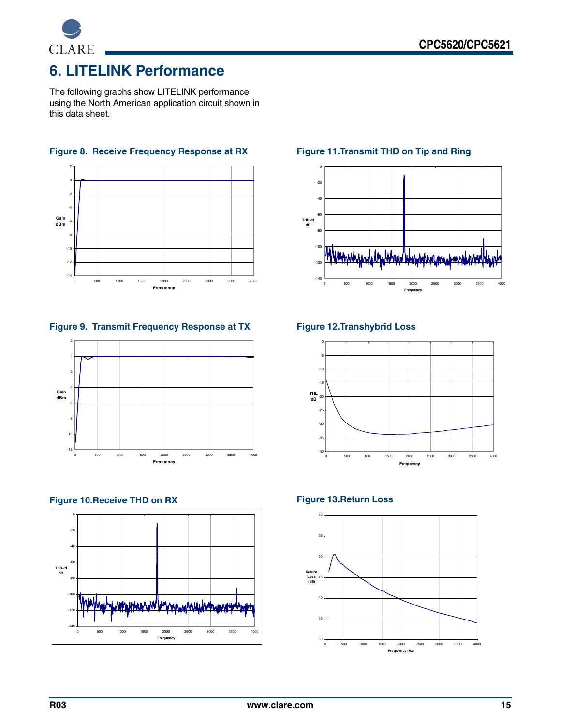

# <span id="page-14-0"></span>**6. LITELINK Performance**

The following graphs show LITELINK performance using the North American application circuit shown in this data sheet.



**Figure 8. Receive Frequency Response at RX**

**Figure 9. Transmit Frequency Response at TX**



#### **Figure 10.Receive THD on RX**



### **Figure 11.Transmit THD on Tip and Ring**



#### **Figure 12.Transhybrid Loss**



#### **Figure 13.Return Loss**

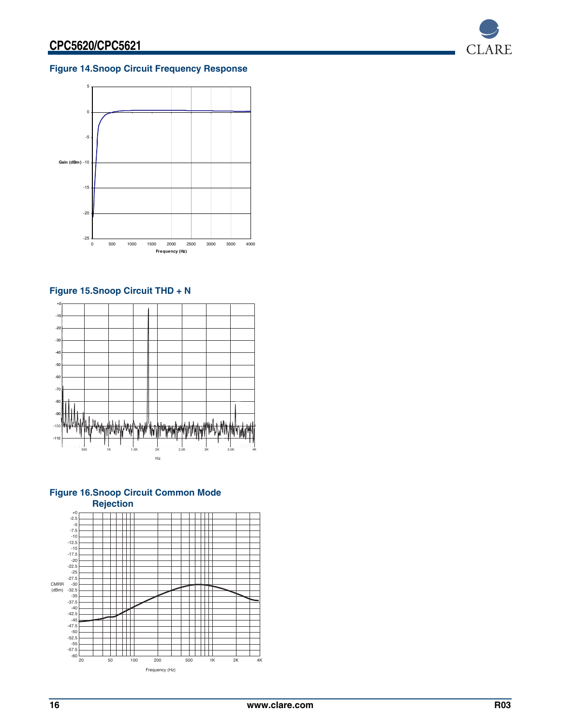

### **Figure 14.Snoop Circuit Frequency Response**



### **Figure 15.Snoop Circuit THD + N**





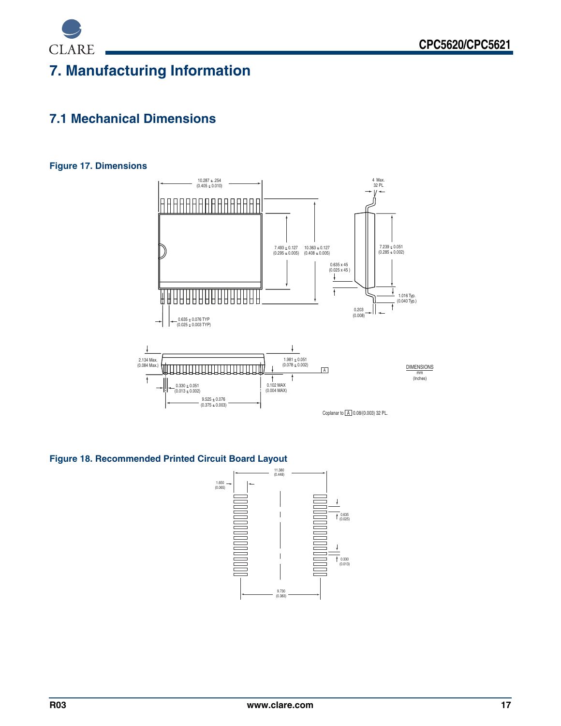

# <span id="page-16-0"></span>**7. Manufacturing Information**

### <span id="page-16-1"></span>**7.1 Mechanical Dimensions**

#### **Figure 17. Dimensions**



### **Figure 18. Recommended Printed Circuit Board Layout**